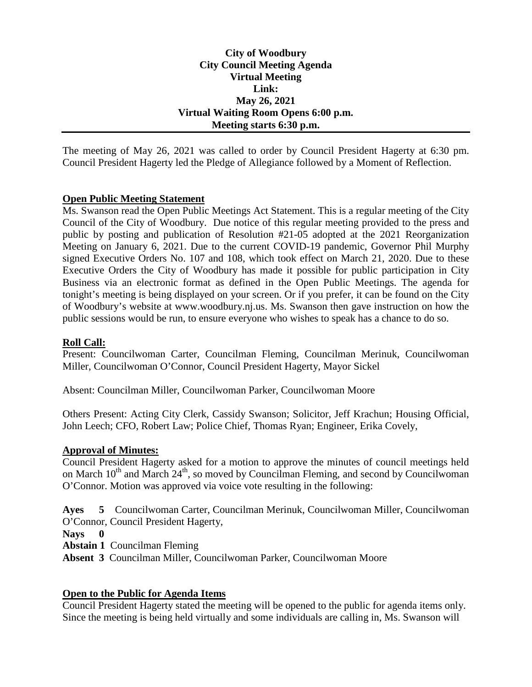## **City of Woodbury City Council Meeting Agenda Virtual Meeting Link: May 26, 2021 Virtual Waiting Room Opens 6:00 p.m. Meeting starts 6:30 p.m.**

The meeting of May 26, 2021 was called to order by Council President Hagerty at 6:30 pm. Council President Hagerty led the Pledge of Allegiance followed by a Moment of Reflection.

## **Open Public Meeting Statement**

Ms. Swanson read the Open Public Meetings Act Statement. This is a regular meeting of the City Council of the City of Woodbury. Due notice of this regular meeting provided to the press and public by posting and publication of Resolution #21-05 adopted at the 2021 Reorganization Meeting on January 6, 2021. Due to the current COVID-19 pandemic, Governor Phil Murphy signed Executive Orders No. 107 and 108, which took effect on March 21, 2020. Due to these Executive Orders the City of Woodbury has made it possible for public participation in City Business via an electronic format as defined in the Open Public Meetings. The agenda for tonight's meeting is being displayed on your screen. Or if you prefer, it can be found on the City of Woodbury's website at www.woodbury.nj.us. Ms. Swanson then gave instruction on how the public sessions would be run, to ensure everyone who wishes to speak has a chance to do so.

### **Roll Call:**

Present: Councilwoman Carter, Councilman Fleming, Councilman Merinuk, Councilwoman Miller, Councilwoman O'Connor, Council President Hagerty, Mayor Sickel

Absent: Councilman Miller, Councilwoman Parker, Councilwoman Moore

Others Present: Acting City Clerk, Cassidy Swanson; Solicitor, Jeff Krachun; Housing Official, John Leech; CFO, Robert Law; Police Chief, Thomas Ryan; Engineer, Erika Covely,

### **Approval of Minutes:**

Council President Hagerty asked for a motion to approve the minutes of council meetings held on March  $10^{th}$  and March  $24^{th}$ , so moved by Councilman Fleming, and second by Councilwoman O'Connor. Motion was approved via voice vote resulting in the following:

**Ayes 5** Councilwoman Carter, Councilman Merinuk, Councilwoman Miller, Councilwoman O'Connor, Council President Hagerty,

**Nays 0**

**Abstain 1** Councilman Fleming

**Absent 3** Councilman Miller, Councilwoman Parker, Councilwoman Moore

### **Open to the Public for Agenda Items**

Council President Hagerty stated the meeting will be opened to the public for agenda items only. Since the meeting is being held virtually and some individuals are calling in, Ms. Swanson will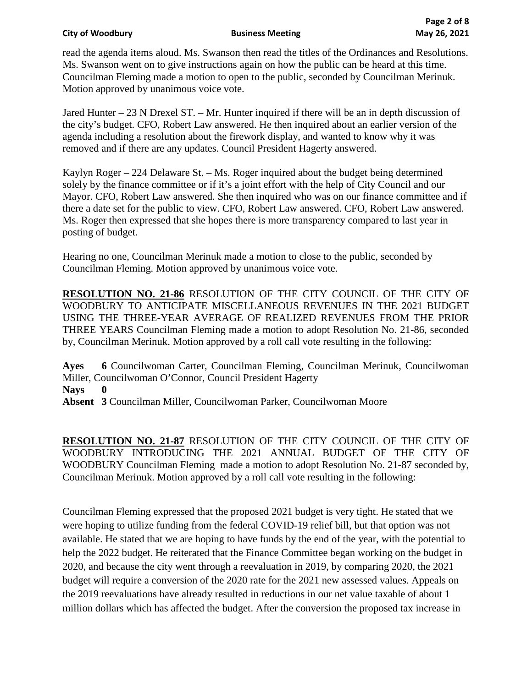read the agenda items aloud. Ms. Swanson then read the titles of the Ordinances and Resolutions. Ms. Swanson went on to give instructions again on how the public can be heard at this time. Councilman Fleming made a motion to open to the public, seconded by Councilman Merinuk. Motion approved by unanimous voice vote.

Jared Hunter – 23 N Drexel ST. – Mr. Hunter inquired if there will be an in depth discussion of the city's budget. CFO, Robert Law answered. He then inquired about an earlier version of the agenda including a resolution about the firework display, and wanted to know why it was removed and if there are any updates. Council President Hagerty answered.

Kaylyn Roger – 224 Delaware St. – Ms. Roger inquired about the budget being determined solely by the finance committee or if it's a joint effort with the help of City Council and our Mayor. CFO, Robert Law answered. She then inquired who was on our finance committee and if there a date set for the public to view. CFO, Robert Law answered. CFO, Robert Law answered. Ms. Roger then expressed that she hopes there is more transparency compared to last year in posting of budget.

Hearing no one, Councilman Merinuk made a motion to close to the public, seconded by Councilman Fleming. Motion approved by unanimous voice vote.

**RESOLUTION NO. 21-86** RESOLUTION OF THE CITY COUNCIL OF THE CITY OF WOODBURY TO ANTICIPATE MISCELLANEOUS REVENUES IN THE 2021 BUDGET USING THE THREE-YEAR AVERAGE OF REALIZED REVENUES FROM THE PRIOR THREE YEARS Councilman Fleming made a motion to adopt Resolution No. 21-86, seconded by, Councilman Merinuk. Motion approved by a roll call vote resulting in the following:

**Ayes 6** Councilwoman Carter, Councilman Fleming, Councilman Merinuk, Councilwoman Miller, Councilwoman O'Connor, Council President Hagerty **Nays 0 Absent 3** Councilman Miller, Councilwoman Parker, Councilwoman Moore

**RESOLUTION NO. 21-87** RESOLUTION OF THE CITY COUNCIL OF THE CITY OF WOODBURY INTRODUCING THE 2021 ANNUAL BUDGET OF THE CITY OF WOODBURY Councilman Fleming made a motion to adopt Resolution No. 21-87 seconded by, Councilman Merinuk. Motion approved by a roll call vote resulting in the following:

Councilman Fleming expressed that the proposed 2021 budget is very tight. He stated that we were hoping to utilize funding from the federal COVID-19 relief bill, but that option was not available. He stated that we are hoping to have funds by the end of the year, with the potential to help the 2022 budget. He reiterated that the Finance Committee began working on the budget in 2020, and because the city went through a reevaluation in 2019, by comparing 2020, the 2021 budget will require a conversion of the 2020 rate for the 2021 new assessed values. Appeals on the 2019 reevaluations have already resulted in reductions in our net value taxable of about 1 million dollars which has affected the budget. After the conversion the proposed tax increase in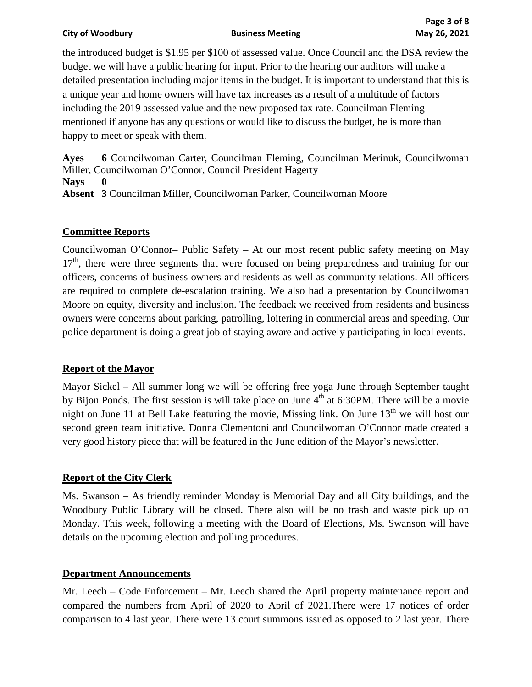the introduced budget is \$1.95 per \$100 of assessed value. Once Council and the DSA review the budget we will have a public hearing for input. Prior to the hearing our auditors will make a detailed presentation including major items in the budget. It is important to understand that this is a unique year and home owners will have tax increases as a result of a multitude of factors including the 2019 assessed value and the new proposed tax rate. Councilman Fleming mentioned if anyone has any questions or would like to discuss the budget, he is more than happy to meet or speak with them.

**Ayes 6** Councilwoman Carter, Councilman Fleming, Councilman Merinuk, Councilwoman Miller, Councilwoman O'Connor, Council President Hagerty **Nays 0 Absent 3** Councilman Miller, Councilwoman Parker, Councilwoman Moore

# **Committee Reports**

Councilwoman O'Connor– Public Safety – At our most recent public safety meeting on May  $17<sup>th</sup>$ , there were three segments that were focused on being preparedness and training for our officers, concerns of business owners and residents as well as community relations. All officers are required to complete de-escalation training. We also had a presentation by Councilwoman Moore on equity, diversity and inclusion. The feedback we received from residents and business owners were concerns about parking, patrolling, loitering in commercial areas and speeding. Our police department is doing a great job of staying aware and actively participating in local events.

# **Report of the Mayor**

Mayor Sickel – All summer long we will be offering free yoga June through September taught by Bijon Ponds. The first session is will take place on June  $4<sup>th</sup>$  at 6:30PM. There will be a movie night on June 11 at Bell Lake featuring the movie, Missing link. On June  $13<sup>th</sup>$  we will host our second green team initiative. Donna Clementoni and Councilwoman O'Connor made created a very good history piece that will be featured in the June edition of the Mayor's newsletter.

# **Report of the City Clerk**

Ms. Swanson – As friendly reminder Monday is Memorial Day and all City buildings, and the Woodbury Public Library will be closed. There also will be no trash and waste pick up on Monday. This week, following a meeting with the Board of Elections, Ms. Swanson will have details on the upcoming election and polling procedures.

### **Department Announcements**

Mr. Leech – Code Enforcement – Mr. Leech shared the April property maintenance report and compared the numbers from April of 2020 to April of 2021.There were 17 notices of order comparison to 4 last year. There were 13 court summons issued as opposed to 2 last year. There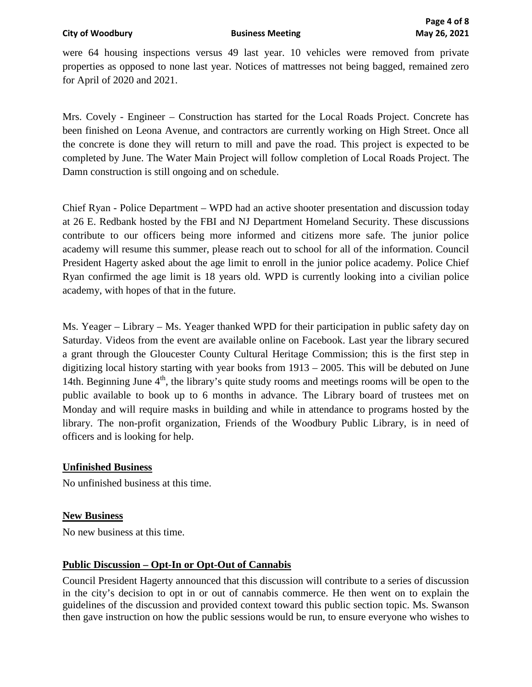were 64 housing inspections versus 49 last year. 10 vehicles were removed from private properties as opposed to none last year. Notices of mattresses not being bagged, remained zero for April of 2020 and 2021.

Mrs. Covely - Engineer – Construction has started for the Local Roads Project. Concrete has been finished on Leona Avenue, and contractors are currently working on High Street. Once all the concrete is done they will return to mill and pave the road. This project is expected to be completed by June. The Water Main Project will follow completion of Local Roads Project. The Damn construction is still ongoing and on schedule.

Chief Ryan - Police Department – WPD had an active shooter presentation and discussion today at 26 E. Redbank hosted by the FBI and NJ Department Homeland Security. These discussions contribute to our officers being more informed and citizens more safe. The junior police academy will resume this summer, please reach out to school for all of the information. Council President Hagerty asked about the age limit to enroll in the junior police academy. Police Chief Ryan confirmed the age limit is 18 years old. WPD is currently looking into a civilian police academy, with hopes of that in the future.

Ms. Yeager – Library – Ms. Yeager thanked WPD for their participation in public safety day on Saturday. Videos from the event are available online on Facebook. Last year the library secured a grant through the Gloucester County Cultural Heritage Commission; this is the first step in digitizing local history starting with year books from 1913 – 2005. This will be debuted on June 14th. Beginning June  $4<sup>th</sup>$ , the library's quite study rooms and meetings rooms will be open to the public available to book up to 6 months in advance. The Library board of trustees met on Monday and will require masks in building and while in attendance to programs hosted by the library. The non-profit organization, Friends of the Woodbury Public Library, is in need of officers and is looking for help.

# **Unfinished Business**

No unfinished business at this time.

### **New Business**

No new business at this time.

# **Public Discussion – Opt-In or Opt-Out of Cannabis**

Council President Hagerty announced that this discussion will contribute to a series of discussion in the city's decision to opt in or out of cannabis commerce. He then went on to explain the guidelines of the discussion and provided context toward this public section topic. Ms. Swanson then gave instruction on how the public sessions would be run, to ensure everyone who wishes to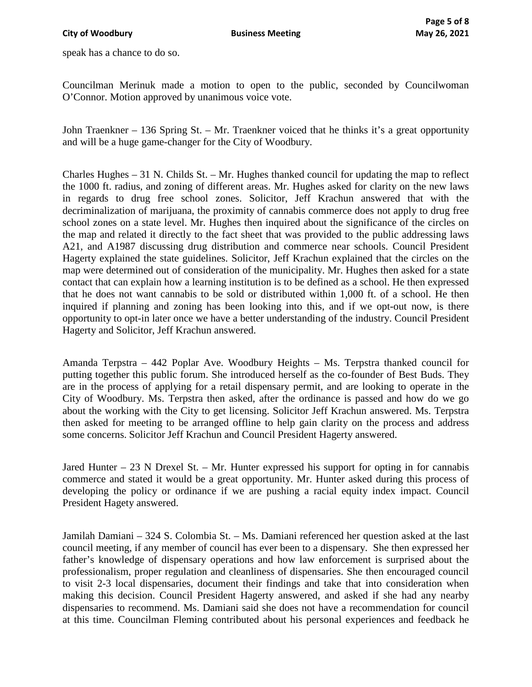speak has a chance to do so.

Councilman Merinuk made a motion to open to the public, seconded by Councilwoman O'Connor. Motion approved by unanimous voice vote.

John Traenkner – 136 Spring St. – Mr. Traenkner voiced that he thinks it's a great opportunity and will be a huge game-changer for the City of Woodbury.

Charles Hughes – 31 N. Childs St. – Mr. Hughes thanked council for updating the map to reflect the 1000 ft. radius, and zoning of different areas. Mr. Hughes asked for clarity on the new laws in regards to drug free school zones. Solicitor, Jeff Krachun answered that with the decriminalization of marijuana, the proximity of cannabis commerce does not apply to drug free school zones on a state level. Mr. Hughes then inquired about the significance of the circles on the map and related it directly to the fact sheet that was provided to the public addressing laws A21, and A1987 discussing drug distribution and commerce near schools. Council President Hagerty explained the state guidelines. Solicitor, Jeff Krachun explained that the circles on the map were determined out of consideration of the municipality. Mr. Hughes then asked for a state contact that can explain how a learning institution is to be defined as a school. He then expressed that he does not want cannabis to be sold or distributed within 1,000 ft. of a school. He then inquired if planning and zoning has been looking into this, and if we opt-out now, is there opportunity to opt-in later once we have a better understanding of the industry. Council President Hagerty and Solicitor, Jeff Krachun answered.

Amanda Terpstra – 442 Poplar Ave. Woodbury Heights – Ms. Terpstra thanked council for putting together this public forum. She introduced herself as the co-founder of Best Buds. They are in the process of applying for a retail dispensary permit, and are looking to operate in the City of Woodbury. Ms. Terpstra then asked, after the ordinance is passed and how do we go about the working with the City to get licensing. Solicitor Jeff Krachun answered. Ms. Terpstra then asked for meeting to be arranged offline to help gain clarity on the process and address some concerns. Solicitor Jeff Krachun and Council President Hagerty answered.

Jared Hunter – 23 N Drexel St. – Mr. Hunter expressed his support for opting in for cannabis commerce and stated it would be a great opportunity. Mr. Hunter asked during this process of developing the policy or ordinance if we are pushing a racial equity index impact. Council President Hagety answered.

Jamilah Damiani – 324 S. Colombia St. – Ms. Damiani referenced her question asked at the last council meeting, if any member of council has ever been to a dispensary. She then expressed her father's knowledge of dispensary operations and how law enforcement is surprised about the professionalism, proper regulation and cleanliness of dispensaries. She then encouraged council to visit 2-3 local dispensaries, document their findings and take that into consideration when making this decision. Council President Hagerty answered, and asked if she had any nearby dispensaries to recommend. Ms. Damiani said she does not have a recommendation for council at this time. Councilman Fleming contributed about his personal experiences and feedback he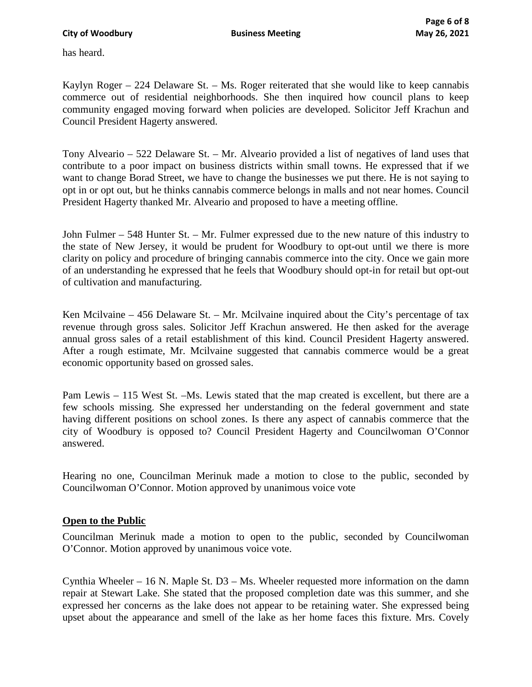has heard.

Kaylyn Roger – 224 Delaware St. – Ms. Roger reiterated that she would like to keep cannabis commerce out of residential neighborhoods. She then inquired how council plans to keep community engaged moving forward when policies are developed. Solicitor Jeff Krachun and Council President Hagerty answered.

Tony Alveario – 522 Delaware St. – Mr. Alveario provided a list of negatives of land uses that contribute to a poor impact on business districts within small towns. He expressed that if we want to change Borad Street, we have to change the businesses we put there. He is not saying to opt in or opt out, but he thinks cannabis commerce belongs in malls and not near homes. Council President Hagerty thanked Mr. Alveario and proposed to have a meeting offline.

John Fulmer – 548 Hunter St. – Mr. Fulmer expressed due to the new nature of this industry to the state of New Jersey, it would be prudent for Woodbury to opt-out until we there is more clarity on policy and procedure of bringing cannabis commerce into the city. Once we gain more of an understanding he expressed that he feels that Woodbury should opt-in for retail but opt-out of cultivation and manufacturing.

Ken Mcilvaine – 456 Delaware St. – Mr. Mcilvaine inquired about the City's percentage of tax revenue through gross sales. Solicitor Jeff Krachun answered. He then asked for the average annual gross sales of a retail establishment of this kind. Council President Hagerty answered. After a rough estimate, Mr. Mcilvaine suggested that cannabis commerce would be a great economic opportunity based on grossed sales.

Pam Lewis – 115 West St. –Ms. Lewis stated that the map created is excellent, but there are a few schools missing. She expressed her understanding on the federal government and state having different positions on school zones. Is there any aspect of cannabis commerce that the city of Woodbury is opposed to? Council President Hagerty and Councilwoman O'Connor answered.

Hearing no one, Councilman Merinuk made a motion to close to the public, seconded by Councilwoman O'Connor. Motion approved by unanimous voice vote

# **Open to the Public**

Councilman Merinuk made a motion to open to the public, seconded by Councilwoman O'Connor. Motion approved by unanimous voice vote.

Cynthia Wheeler – 16 N. Maple St. D3 – Ms. Wheeler requested more information on the damn repair at Stewart Lake. She stated that the proposed completion date was this summer, and she expressed her concerns as the lake does not appear to be retaining water. She expressed being upset about the appearance and smell of the lake as her home faces this fixture. Mrs. Covely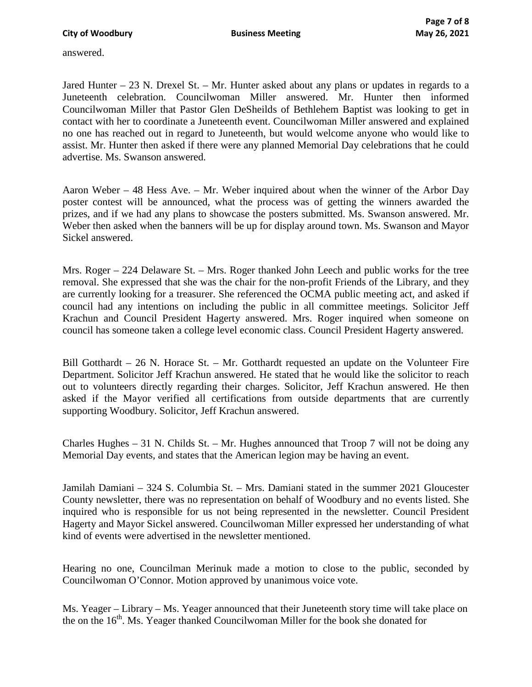answered.

Jared Hunter  $-23$  N. Drexel St.  $-$  Mr. Hunter asked about any plans or updates in regards to a Juneteenth celebration. Councilwoman Miller answered. Mr. Hunter then informed Councilwoman Miller that Pastor Glen DeSheilds of Bethlehem Baptist was looking to get in contact with her to coordinate a Juneteenth event. Councilwoman Miller answered and explained no one has reached out in regard to Juneteenth, but would welcome anyone who would like to assist. Mr. Hunter then asked if there were any planned Memorial Day celebrations that he could advertise. Ms. Swanson answered.

Aaron Weber – 48 Hess Ave. – Mr. Weber inquired about when the winner of the Arbor Day poster contest will be announced, what the process was of getting the winners awarded the prizes, and if we had any plans to showcase the posters submitted. Ms. Swanson answered. Mr. Weber then asked when the banners will be up for display around town. Ms. Swanson and Mayor Sickel answered.

Mrs. Roger – 224 Delaware St. – Mrs. Roger thanked John Leech and public works for the tree removal. She expressed that she was the chair for the non-profit Friends of the Library, and they are currently looking for a treasurer. She referenced the OCMA public meeting act, and asked if council had any intentions on including the public in all committee meetings. Solicitor Jeff Krachun and Council President Hagerty answered. Mrs. Roger inquired when someone on council has someone taken a college level economic class. Council President Hagerty answered.

Bill Gotthardt – 26 N. Horace St. – Mr. Gotthardt requested an update on the Volunteer Fire Department. Solicitor Jeff Krachun answered. He stated that he would like the solicitor to reach out to volunteers directly regarding their charges. Solicitor, Jeff Krachun answered. He then asked if the Mayor verified all certifications from outside departments that are currently supporting Woodbury. Solicitor, Jeff Krachun answered.

Charles Hughes – 31 N. Childs St. – Mr. Hughes announced that Troop 7 will not be doing any Memorial Day events, and states that the American legion may be having an event.

Jamilah Damiani – 324 S. Columbia St. – Mrs. Damiani stated in the summer 2021 Gloucester County newsletter, there was no representation on behalf of Woodbury and no events listed. She inquired who is responsible for us not being represented in the newsletter. Council President Hagerty and Mayor Sickel answered. Councilwoman Miller expressed her understanding of what kind of events were advertised in the newsletter mentioned.

Hearing no one, Councilman Merinuk made a motion to close to the public, seconded by Councilwoman O'Connor. Motion approved by unanimous voice vote.

Ms. Yeager – Library – Ms. Yeager announced that their Juneteenth story time will take place on the on the  $16<sup>th</sup>$ . Ms. Yeager thanked Councilwoman Miller for the book she donated for